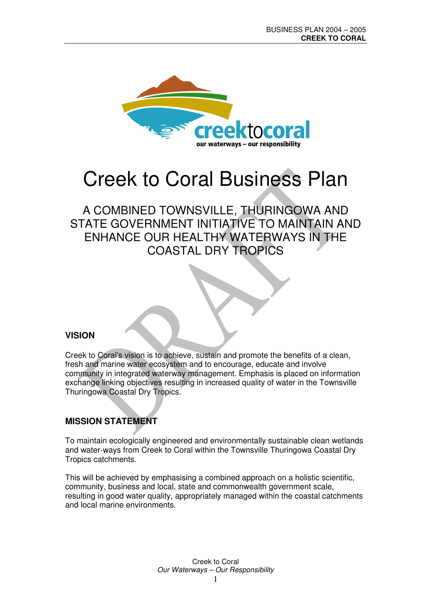

# Creek to Coral Business Plan

## A COMBINED TOWNSVILLE, THURINGOWA AND STATE GOVERNMENT INITIATIVE TO MAINTAIN AND ENHANCE OUR HEALTHY WATERWAYS IN THE COASTAL DRY TROPICS

### **VISION**

Creek to Coral's vision is to achieve, sustain and promote the benefits of a clean, fresh and marine water ecosystem and to encourage, educate and involve community in integrated waterway management. Emphasis is placed on information exchange linking objectives resulting in increased quality of water in the Townsville Thuringowa Coastal Dry Tropics.

### **MISSION STATEMENT**

To maintain ecologically engineered and environmentally sustainable clean wetlands and water-ways from Creek to Coral within the Townsville Thuringowa Coastal Dry Tropics catchments.

This will be achieved by emphasising a combined approach on a holistic scientific, community, business and local, state and commonwealth government scale, resulting in good water quality, appropriately managed within the coastal catchments and local marine environments.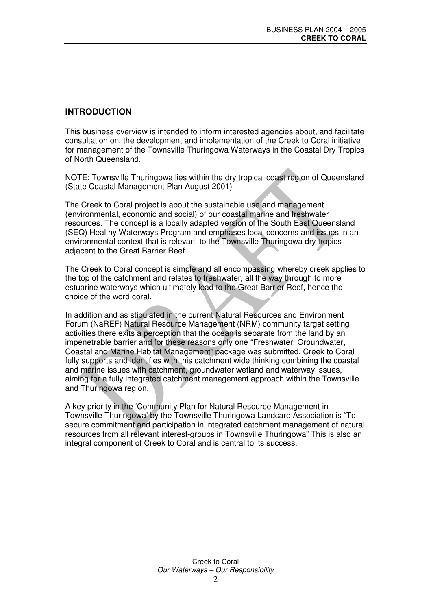### **INTRODUCTION**

This business overview is intended to inform interested agencies about, and facilitate consultation on, the development and implementation of the Creek to Coral initiative for management of the Townsville Thuringowa Waterways in the Coastal Dry Tropics of North Queensland.

NOTE: Townsville Thuringowa lies within the dry tropical coast region of Queensland (State Coastal Management Plan August 2001)

The Creek to Coral project is about the sustainable use and management (environmental, economic and social) of our coastal marine and freshwater resources. The concept is a locally adapted version of the South East Queensland (SEQ) Healthy Waterways Program and emphases local concerns and issues in an environmental context that is relevant to the Townsville Thuringowa dry tropics adjacent to the Great Barrier Reef.

The Creek to Coral concept is simple and all encompassing whereby creek applies to the top of the catchment and relates to freshwater, all the way through to more estuarine waterways which ultimately lead to the Great Barrier Reef, hence the choice of the word coral.

In addition and as stipulated in the current Natural Resources and Environment Forum (NaREF) Natural Resource Management (NRM) community target setting activities there exits a perception that the ocean is separate from the land by an impenetrable barrier and for these reasons only one "Freshwater, Groundwater, Coastal and Marine Habitat Management" package was submitted. Creek to Coral fully supports and identifies with this catchment wide thinking combining the coastal and marine issues with catchment, groundwater wetland and waterway issues, aiming for a fully integrated catchment management approach within the Townsville and Thuringowa region.

A key priority in the 'Community Plan for Natural Resource Management in Townsville Thuringowa' by the Townsville Thuringowa Landcare Association is "To secure commitment and participation in integrated catchment management of natural resources from all relevant interest-groups in Townsville Thuringowa" This is also an integral component of Creek to Coral and is central to its success.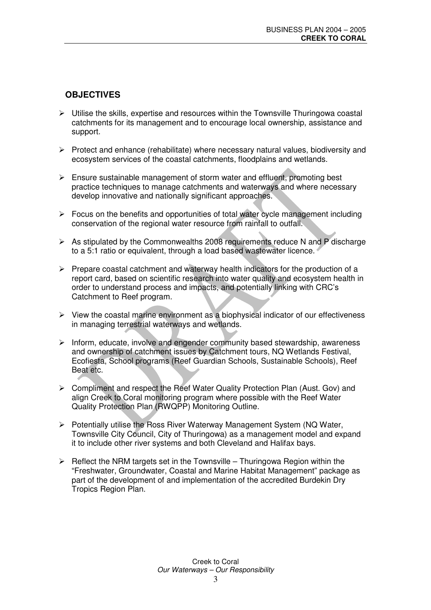### **OBJECTIVES**

- $\triangleright$  Utilise the skills, expertise and resources within the Townsville Thuringowa coastal catchments for its management and to encourage local ownership, assistance and support.
- $\triangleright$  Protect and enhance (rehabilitate) where necessary natural values, biodiversity and ecosystem services of the coastal catchments, floodplains and wetlands.
- $\triangleright$  Ensure sustainable management of storm water and effluent, promoting best practice techniques to manage catchments and waterways and where necessary develop innovative and nationally significant approaches.
- $\triangleright$  Focus on the benefits and opportunities of total water cycle management including conservation of the regional water resource from rainfall to outfall.
- $\triangleright$  As stipulated by the Commonwealths 2008 requirements reduce N and P discharge to a 5:1 ratio or equivalent, through a load based wastewater licence.
- $\triangleright$  Prepare coastal catchment and waterway health indicators for the production of a report card, based on scientific research into water quality and ecosystem health in order to understand process and impacts, and potentially linking with CRC's Catchment to Reef program.
- $\triangleright$  View the coastal marine environment as a biophysical indicator of our effectiveness in managing terrestrial waterways and wetlands.
- $\triangleright$  Inform, educate, involve and engender community based stewardship, awareness and ownership of catchment issues by Catchment tours, NQ Wetlands Festival, Ecofiesta, School programs (Reef Guardian Schools, Sustainable Schools), Reef Beat etc.
- $\triangleright$  Compliment and respect the Reef Water Quality Protection Plan (Aust. Gov) and align Creek to Coral monitoring program where possible with the Reef Water Quality Protection Plan (RWQPP) Monitoring Outline.
- $\triangleright$  Potentially utilise the Ross River Waterway Management System (NQ Water, Townsville City Council, City of Thuringowa) as a management model and expand it to include other river systems and both Cleveland and Halifax bays.
- $\triangleright$  Reflect the NRM targets set in the Townsville Thuringowa Region within the "Freshwater, Groundwater, Coastal and Marine Habitat Management" package as part of the development of and implementation of the accredited Burdekin Dry Tropics Region Plan.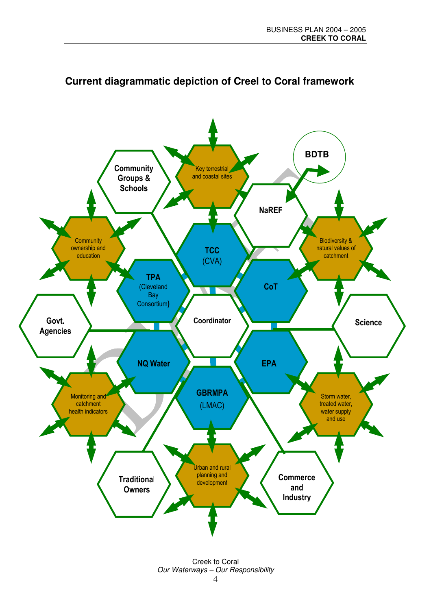

## Current diagrammatic depiction of Creel to Coral framework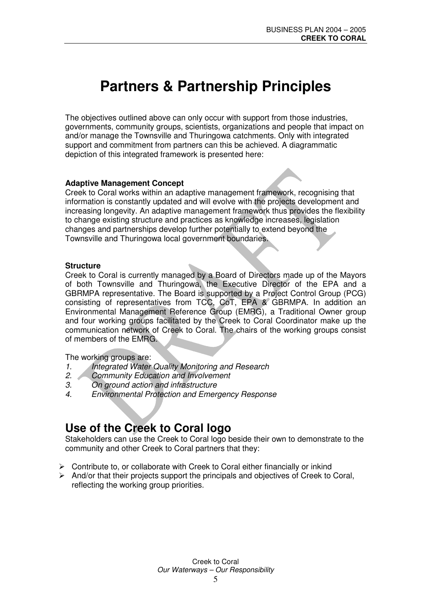## **Partners & Partnership Principles**

The objectives outlined above can only occur with support from those industries, governments, community groups, scientists, organizations and people that impact on and/or manage the Townsville and Thuringowa catchments. Only with integrated support and commitment from partners can this be achieved. A diagrammatic depiction of this integrated framework is presented here:

#### **Adaptive Management Concept**

Creek to Coral works within an adaptive management framework, recognising that information is constantly updated and will evolve with the projects development and increasing longevity. An adaptive management framework thus provides the flexibility to change existing structure and practices as knowledge increases, legislation changes and partnerships develop further potentially to extend beyond the Townsville and Thuringowa local government boundaries.

#### **Structure**

Creek to Coral is currently managed by a Board of Directors made up of the Mayors of both Townsville and Thuringowa, the Executive Director of the EPA and a GBRMPA representative. The Board is supported by a Project Control Group (PCG) consisting of representatives from TCC, CoT, EPA & GBRMPA. In addition an Environmental Management Reference Group (EMRG), a Traditional Owner group and four working groups facilitated by the Creek to Coral Coordinator make up the communication network of Creek to Coral. The chairs of the working groups consist of members of the EMRG.

The working groups are:

- *1. Integrated Water Quality Monitoring and Research*
- *2. Community Education and Involvement*
- *3. On ground action and infrastructure*
- *4. Environmental Protection and Emergency Response*

## **Use of the Creek to Coral logo**

Stakeholders can use the Creek to Coral logo beside their own to demonstrate to the community and other Creek to Coral partners that they:

- $\triangleright$  Contribute to, or collaborate with Creek to Coral either financially or inkind
- $\triangleright$  And/or that their projects support the principals and objectives of Creek to Coral, reflecting the working group priorities.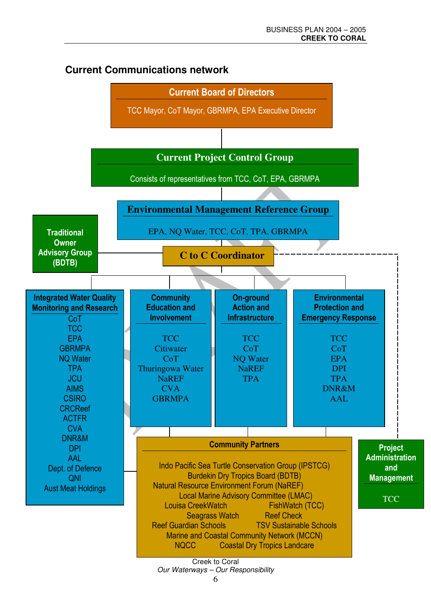### **Current Communications network**



6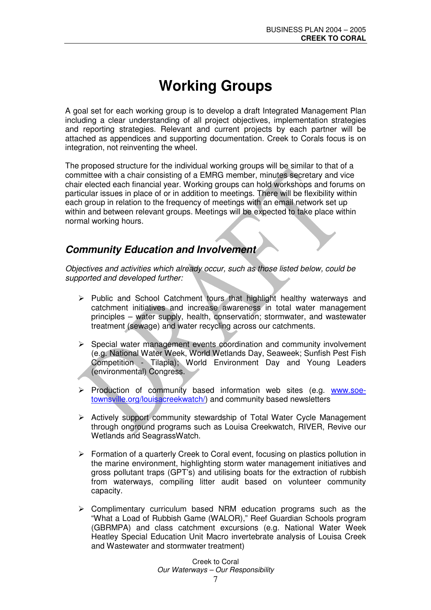## **Working Groups**

A goal set for each working group is to develop a draft Integrated Management Plan including a clear understanding of all project objectives, implementation strategies and reporting strategies. Relevant and current projects by each partner will be attached as appendices and supporting documentation. Creek to Corals focus is on integration, not reinventing the wheel.

The proposed structure for the individual working groups will be similar to that of a committee with a chair consisting of a EMRG member, minutes secretary and vice chair elected each financial year. Working groups can hold workshops and forums on particular issues in place of or in addition to meetings. There will be flexibility within each group in relation to the frequency of meetings with an email network set up within and between relevant groups. Meetings will be expected to take place within normal working hours.

### *Community Education and Involvement*

*Objectives and activities which already occur, such as those listed below, could be supported and developed further:*

- $\triangleright$  Public and School Catchment tours that highlight healthy waterways and catchment initiatives and increase awareness in total water management principles – water supply, health, conservation; stormwater, and wastewater treatment (sewage) and water recycling across our catchments.
- $\triangleright$  Special water management events coordination and community involvement (e.g. National Water Week, World Wetlands Day, Seaweek; Sunfish Pest Fish Competition - Tilapia); World Environment Day and Young Leaders (environmental) Congress.
- $\triangleright$  Production of community based information web sites (e.g. www.soetownsville.org/louisacreekwatch/) and community based newsletters
- $\triangleright$  Actively support community stewardship of Total Water Cycle Management through onground programs such as Louisa Creekwatch, RIVER, Revive our Wetlands and SeagrassWatch.
- $\triangleright$  Formation of a quarterly Creek to Coral event, focusing on plastics pollution in the marine environment, highlighting storm water management initiatives and gross pollutant traps (GPT's) and utilising boats for the extraction of rubbish from waterways, compiling litter audit based on volunteer community capacity.
- $\triangleright$  Complimentary curriculum based NRM education programs such as the "What a Load of Rubbish Game (WALOR)," Reef Guardian Schools program (GBRMPA) and class catchment excursions (e.g. National Water Week Heatley Special Education Unit Macro invertebrate analysis of Louisa Creek and Wastewater and stormwater treatment)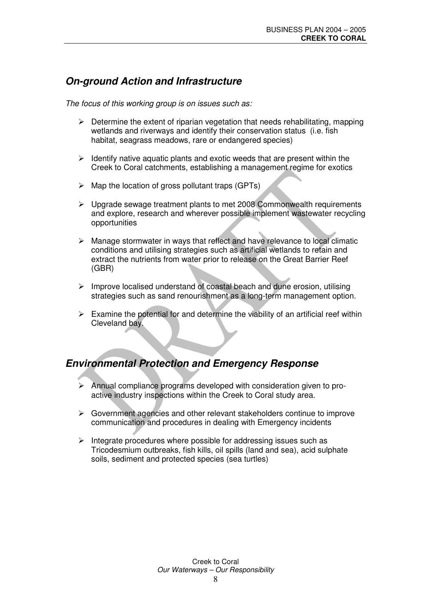### *On-ground Action and Infrastructure*

*The focus of this working group is on issues such as:*

- $\triangleright$  Determine the extent of riparian vegetation that needs rehabilitating, mapping wetlands and riverways and identify their conservation status (i.e. fish habitat, seagrass meadows, rare or endangered species)
- $\triangleright$  Identify native aquatic plants and exotic weeds that are present within the Creek to Coral catchments, establishing a management regime for exotics
- $\triangleright$  Map the location of gross pollutant traps (GPTs)
- $\triangleright$  Upgrade sewage treatment plants to met 2008 Commonwealth requirements and explore, research and wherever possible implement wastewater recycling opportunities
- $\triangleright$  Manage stormwater in ways that reflect and have relevance to local climatic conditions and utilising strategies such as artificial wetlands to retain and extract the nutrients from water prior to release on the Great Barrier Reef (GBR)
- $\triangleright$  Improve localised understand of coastal beach and dune erosion, utilising strategies such as sand renourishment as a long-term management option.
- $\triangleright$  Examine the potential for and determine the viability of an artificial reef within Cleveland  $b$ a $\overline{\overline{w}}$ .

### *Environmental Protection and Emergency Response*

- $\triangleright$  Annual compliance programs developed with consideration given to proactive industry inspections within the Creek to Coral study area.
- $\triangleright$  Government agencies and other relevant stakeholders continue to improve communication and procedures in dealing with Emergency incidents
- $\triangleright$  Integrate procedures where possible for addressing issues such as Tricodesmium outbreaks, fish kills, oil spills (land and sea), acid sulphate soils, sediment and protected species (sea turtles)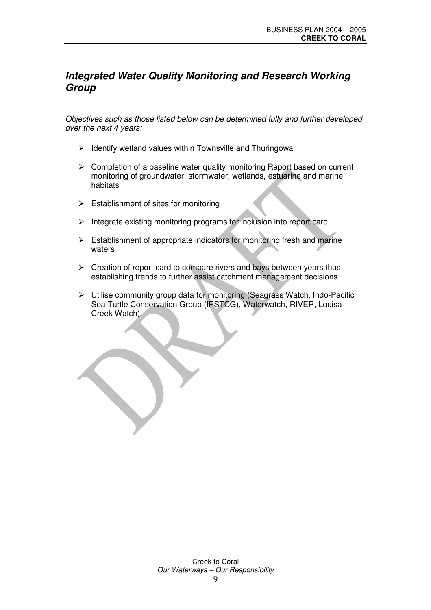### *Integrated Water Quality Monitoring and Research Working Group*

*Objectives such as those listed below can be determined fully and further developed over the next 4 years:*

- $\triangleright$  Identify wetland values within Townsville and Thuringowa
- $\triangleright$  Completion of a baseline water quality monitoring Report based on current monitoring of groundwater, stormwater, wetlands, estuarine and marine habitats
- $\triangleright$  Establishment of sites for monitoring
- $\triangleright$  Integrate existing monitoring programs for inclusion into report card
- $\triangleright$  Establishment of appropriate indicators for monitoring fresh and marine waters
- $\triangleright$  Creation of report card to compare rivers and bays between years thus establishing trends to further assist catchment management decisions
- Utilise community group data for monitoring (Seagrass Watch, Indo-Pacific Sea Turtle Conservation Group (IPSTCG), Waterwatch, RIVER, Louisa Creek Watch)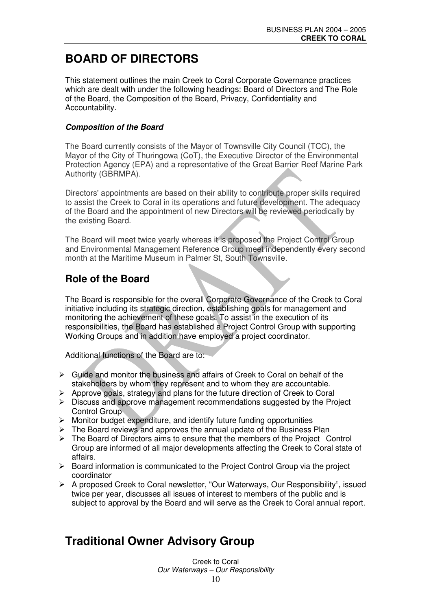## **BOARD OF DIRECTORS**

This statement outlines the main Creek to Coral Corporate Governance practices which are dealt with under the following headings: Board of Directors and The Role of the Board, the Composition of the Board, Privacy, Confidentiality and Accountability.

#### *Composition of the Board*

The Board currently consists of the Mayor of Townsville City Council (TCC), the Mayor of the City of Thuringowa (CoT), the Executive Director of the Environmental Protection Agency (EPA) and a representative of the Great Barrier Reef Marine Park Authority (GBRMPA).

Directors'appointments are based on their ability to contribute proper skills required to assist the Creek to Coral in its operations and future development. The adequacy of the Board and the appointment of new Directors will be reviewed periodically by the existing Board.

The Board will meet twice yearly whereas it is proposed the Project Control Group and Environmental Management Reference Group meet independently every second month at the Maritime Museum in Palmer St. South Townsville.

### **Role of the Board**

The Board is responsible for the overall Corporate Governance of the Creek to Coral initiative including its strategic direction, establishing goals for management and monitoring the achievement of these goals. To assist in the execution of its responsibilities, the Board has established a Project Control Group with supporting Working Groups and in addition have employed a project coordinator.

Additional functions of the Board are to:

- $\triangleright$  Guide and monitor the business and affairs of Creek to Coral on behalf of the stakeholders by whom they represent and to whom they are accountable.
- $\triangleright$  Approve goals, strategy and plans for the future direction of Creek to Coral
- $\triangleright$  Discuss and approve management recommendations suggested by the Project Control Group
- $\triangleright$  Monitor budget expenditure, and identify future funding opportunities
- $\triangleright$  The Board reviews and approves the annual update of the Business Plan
- $\triangleright$  The Board of Directors aims to ensure that the members of the Project Control Group are informed of all major developments affecting the Creek to Coral state of affairs.
- Board information is communicated to the Project Control Group via the project coordinator
- A proposed Creek to Coral newsletter, "Our Waterways, Our Responsibility", issued twice per year, discusses all issues of interest to members of the public and is subject to approval by the Board and will serve as the Creek to Coral annual report.

## **Traditional Owner Advisory Group**

Creek to Coral *Our Waterways – Our Responsibility*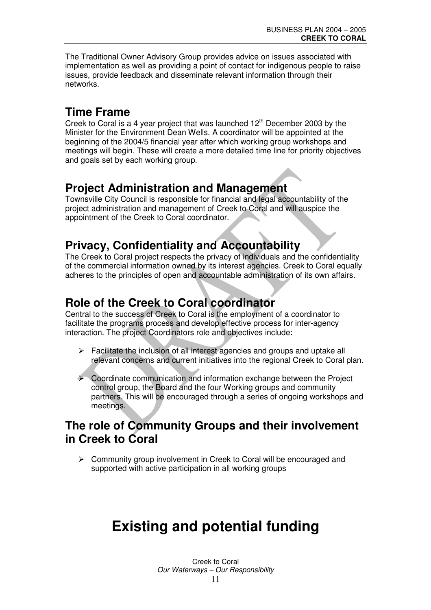The Traditional Owner Advisory Group provides advice on issues associated with implementation as well as providing a point of contact for indigenous people to raise issues, provide feedback and disseminate relevant information through their networks.

## **Time Frame**

Creek to Coral is a 4 year project that was launched  $12<sup>th</sup>$  December 2003 by the Minister for the Environment Dean Wells. A coordinator will be appointed at the beginning of the 2004/5 financial year after which working group workshops and meetings will begin. These will create a more detailed time line for priority objectives and goals set by each working group.

## **Project Administration and Management**

Townsville City Council is responsible for financial and legal accountability of the project administration and management of Creek to Coral and will auspice the appointment of the Creek to Coral coordinator.

## **Privacy, Confidentiality and Accountability**

The Creek to Coral project respects the privacy of individuals and the confidentiality of the commercial information owned by its interest agencies. Creek to Coral equally adheres to the principles of open and accountable administration of its own affairs.

## **Role of the Creek to Coral coordinator**

Central to the success of Creek to Coral is the employment of a coordinator to facilitate the programs process and develop effective process for inter-agency interaction. The project Coordinators role and objectives include:

- $\triangleright$  Facilitate the inclusion of all interest agencies and groups and uptake all relevant concerns and current initiatives into the regional Creek to Coral plan.
- $\triangleright$  Coordinate communication and information exchange between the Project control group, the Board and the four Working groups and community partners. This will be encouraged through a series of ongoing workshops and meetings.

## **The role of Community Groups and their involvement in Creek to Coral**

 $\triangleright$  Community group involvement in Creek to Coral will be encouraged and supported with active participation in all working groups

## **Existing and potential funding**

Creek to Coral *Our Waterways – Our Responsibility* 11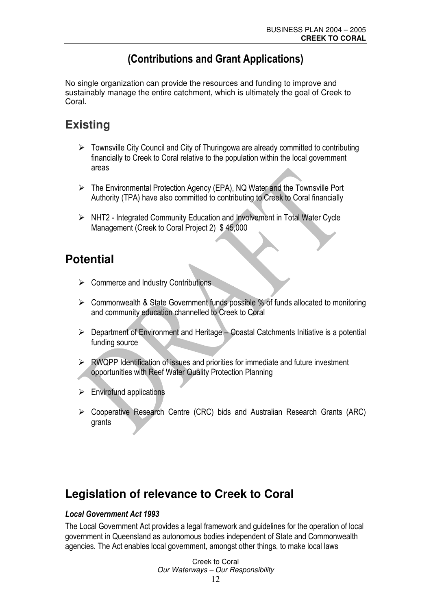## (Contributions and Grant Applications)

No single organization can provide the resources and funding to improve and sustainably manage the entire catchment, which is ultimately the goal of Creek to Coral

## **Existing**

- $\triangleright$  Townsville City Council and City of Thuringowa are already committed to contributing financially to Creek to Coral relative to the population within the local government areas
- The Environmental Protection Agency (EPA), NQ Water and the Townsville Port Authority (TPA) have also committed to contributing to Creek to Coral financially
- > NHT2 Integrated Community Education and Involvement in Total Water Cycle Management (Creek to Coral Project 2) \$45,000

## **Potential**

- $\triangleright$  Commerce and Industry Contributions
- $\triangleright$  Commonwealth & State Government funds possible % of funds allocated to monitoring and community education channelled to Creek to Coral
- $\triangleright$  Department of Environment and Heritage Coastal Catchments Initiative is a potential funding source
- $\triangleright$  RWQPP Identification of issues and priorities for immediate and future investment opportunities with Reef Water Quality Protection Planning
- $\triangleright$  Envirofund applications
- $\triangleright$  Cooperative Research Centre (CRC) bids and Australian Research Grants (ARC) grants

## **Legislation of relevance to Creek to Coral**

### **Local Government Act 1993**

The Local Government Act provides a legal framework and guidelines for the operation of local government in Queensland as autonomous bodies independent of State and Commonwealth agencies. The Act enables local government, amongst other things, to make local laws

> Creek to Coral Our Waterways - Our Responsibility 12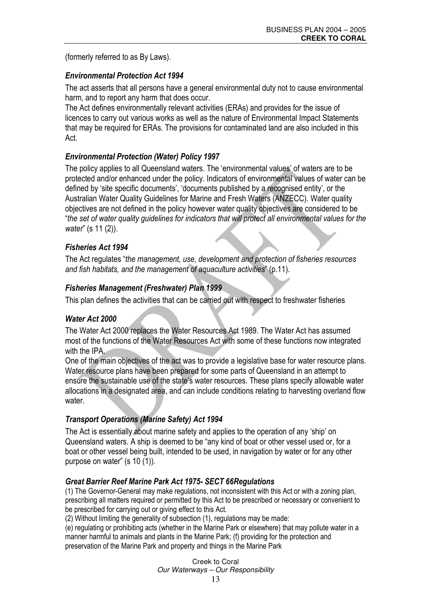(formerly referred to as By Laws).

### **Environmental Protection Act 1994**

The act asserts that all persons have a general environmental duty not to cause environmental harm, and to report any harm that does occur.

The Act defines environmentally relevant activities (ERAs) and provides for the issue of licences to carry out various works as well as the nature of Environmental Impact Statements that may be required for ERAs. The provisions for contaminated land are also included in this Act.

### **Environmental Protection (Water) Policy 1997**

The policy applies to all Queensland waters. The 'environmental values' of waters are to be protected and/or enhanced under the policy. Indicators of environmental values of water can be defined by 'site specific documents', 'documents published by a recognised entity', or the Australian Water Quality Guidelines for Marine and Fresh Waters (ANZECC). Water quality objectives are not defined in the policy however water quality objectives are considered to be "the set of water quality guidelines for indicators that will protect all environmental values for the water" (s 11 (2)).

### **Fisheries Act 1994**

The Act regulates "the management, use, development and protection of fisheries resources and fish habitats, and the management of aquaculture activities" (p.11).

### **Fisheries Management (Freshwater) Plan 1999**

This plan defines the activities that can be carried out with respect to freshwater fisheries

### Water Act 2000

The Water Act 2000 replaces the Water Resources Act 1989. The Water Act has assumed most of the functions of the Water Resources Act with some of these functions now integrated with the IPA.

One of the main objectives of the act was to provide a legislative base for water resource plans. Water resource plans have been prepared for some parts of Queensland in an attempt to ensure the sustainable use of the state's water resources. These plans specify allowable water allocations in a designated area, and can include conditions relating to harvesting overland flow water.

### **Transport Operations (Marine Safety) Act 1994**

The Act is essentially about marine safety and applies to the operation of any 'ship' on Queensland waters. A ship is deemed to be "any kind of boat or other vessel used or, for a boat or other vessel being built, intended to be used, in navigation by water or for any other purpose on water" (s 10 (1)).

### **Great Barrier Reef Marine Park Act 1975- SECT 66 Requilations**

(1) The Governor-General may make regulations, not inconsistent with this Act or with a zoning plan, prescribing all matters required or permitted by this Act to be prescribed or necessary or convenient to be prescribed for carrying out or giving effect to this Act.

(2) Without limiting the generality of subsection (1), regulations may be made:

(e) requilating or prohibiting acts (whether in the Marine Park or elsewhere) that may pollute water in a manner harmful to animals and plants in the Marine Park: (f) providing for the protection and preservation of the Marine Park and property and things in the Marine Park

> Creek to Coral Our Waterways - Our Responsibility 13